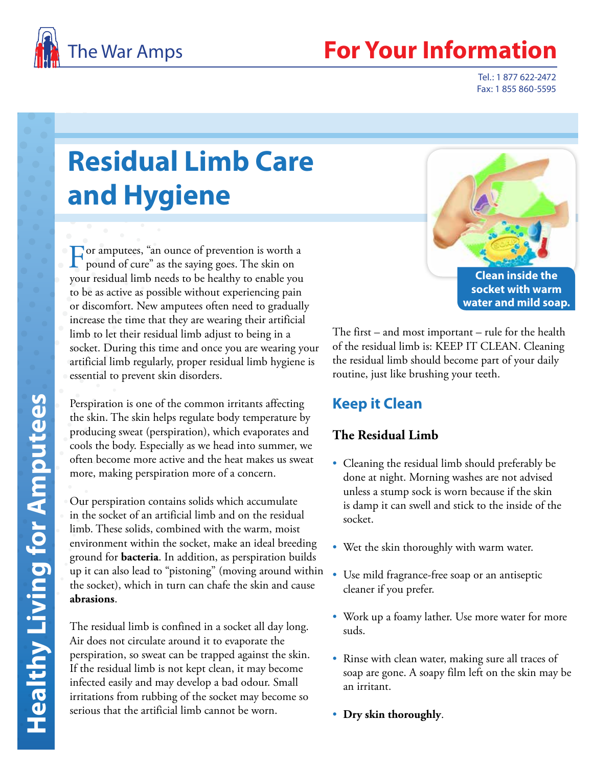

## **Your Information**

Tel.: 1 877 622-2472 Fax: 1 855 860-5595

# **Residual Limb Care and Hygiene**

For amputees, "an ounce of prevention is worth a pound of cure" as the saying goes. The skin on your residual limb needs to be healthy to enable you to be as active as possible without experiencing pain or discomfort. New amputees often need to gradually increase the time that they are wearing their artificial limb to let their residual limb adjust to being in a socket. During this time and once you are wearing your artificial limb regularly, proper residual limb hygiene is essential to prevent skin disorders.

Perspiration is one of the common irritants affecting the skin. The skin helps regulate body temperature by producing sweat (perspiration), which evaporates and cools the body. Especially as we head into summer, we often become more active and the heat makes us sweat more, making perspiration more of a concern.

Our perspiration contains solids which accumulate in the socket of an artificial limb and on the residual limb. These solids, combined with the warm, moist environment within the socket, make an ideal breeding ground for **bacteria**. In addition, as perspiration builds up it can also lead to "pistoning" (moving around within the socket), which in turn can chafe the skin and cause **abrasions**.

The residual limb is confined in a socket all day long. Air does not circulate around it to evaporate the perspiration, so sweat can be trapped against the skin. If the residual limb is not kept clean, it may become infected easily and may develop a bad odour. Small irritations from rubbing of the socket may become so serious that the artificial limb cannot be worn.



The first – and most important – rule for the health of the residual limb is: KEEP IT CLEAN. Cleaning the residual limb should become part of your daily routine, just like brushing your teeth.

### **Keep it Clean**

#### **The Residual Limb**

- Cleaning the residual limb should preferably be done at night. Morning washes are not advised unless a stump sock is worn because if the skin is damp it can swell and stick to the inside of the socket.
- Wet the skin thoroughly with warm water.
- Use mild fragrance-free soap or an antiseptic cleaner if you prefer.
- Work up a foamy lather. Use more water for more suds.
- Rinse with clean water, making sure all traces of soap are gone. A soapy film left on the skin may be an irritant.
- **Dry skin thoroughly** .